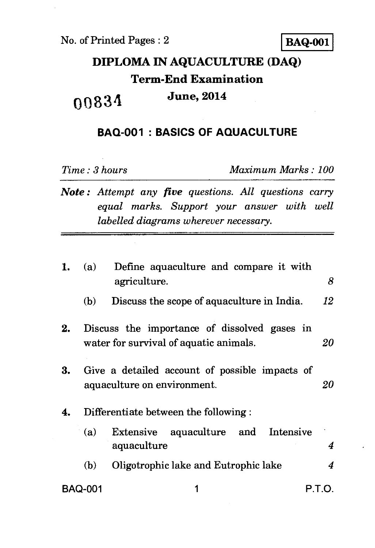## **DIPLOMA IN AQUACULTURE (DAQ) Term-End Examination 0 a 83 4 June, 2014**

## **BAQ-001 : BASICS OF AQUACULTURE**

*Time : 3 hours Maximum Marks : 100* 

*Note : Attempt any five questions. All questions carry equal marks. Support your answer with well labelled diagrams wherever necessary.* 

| 1. | (a)     | Define aquaculture and compare it with<br>agriculture.                                 | 8  |
|----|---------|----------------------------------------------------------------------------------------|----|
|    | (b)     | Discuss the scope of aquaculture in India.                                             | 12 |
| 2. |         | Discuss the importance of dissolved gases in<br>water for survival of aquatic animals. | 20 |
| 3. |         | Give a detailed account of possible impacts of<br>aquaculture on environment.          | 20 |
| 4. |         | Differentiate between the following:                                                   |    |
|    | (a)     | Extensive aquaculture and Intensive<br>aquaculture                                     | 4  |
|    | (b)     | Oligotrophic lake and Eutrophic lake                                                   | 4  |
|    | BAQ-001 | P.T.O.                                                                                 |    |